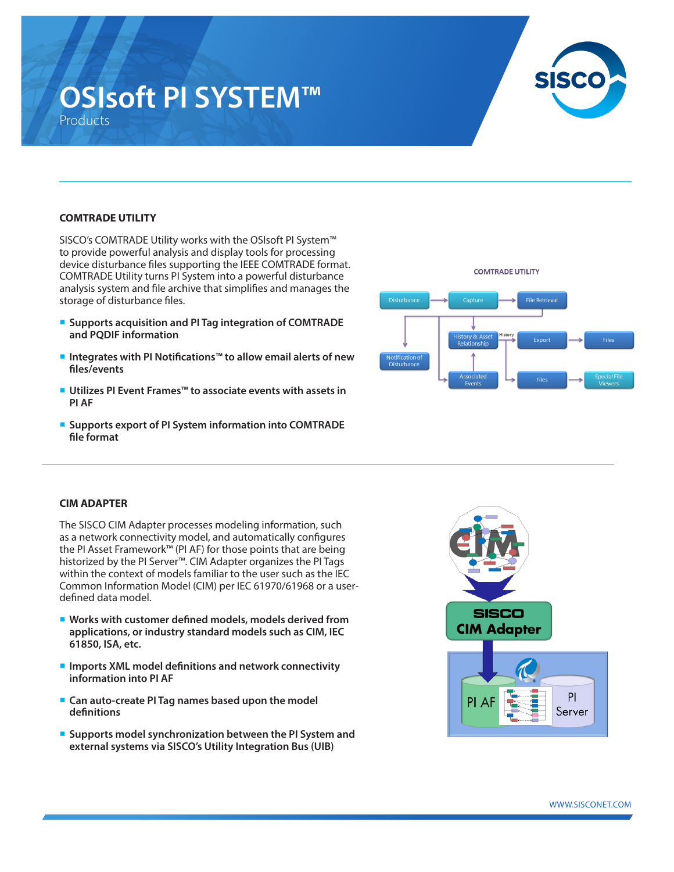# **OSIsoft PI SYSTEM™** Products



### **COMTRADE UTILITY**

SISCO's COMTRADE Utility works with the OSIsoft PI System™ to provide powerful analysis and display tools for processing device disturbance files supporting the IEEE COMTRADE format. COMTRADE Utility turns PI System into a powerful disturbance analysis system and file archive that simplifies and manages the storage of disturbance files.

- ¡ **Supports acquisition and PI Tag integration of COMTRADE and PQDIF information**
- Integrates with PI Notifications<sup>™</sup> to allow email alerts of new **files/events**
- Utilizes PI Event Frames<sup>™</sup> to associate events with assets in **PI AF**
- ¡ **Supports export of PI System information into COMTRADE file format**



#### **CIM ADAPTER**

The SISCO CIM Adapter processes modeling information, such as a network connectivity model, and automatically configures the PI Asset Framework™ (PI AF) for those points that are being historized by the PI Server™. CIM Adapter organizes the PI Tags within the context of models familiar to the user such as the IEC Common Information Model (CIM) per IEC 61970/61968 or a userdefined data model.

- Works with customer defined models, models derived from **applications, or industry standard models such as CIM, IEC 61850, ISA, etc.**
- Imports XML model definitions and network connectivity **information into PI AF**
- ¡ **Can auto-create PI Tag names based upon the model definitions**
- ¡ **Supports model synchronization between the PI System and external systems via SISCO's Utility Integration Bus (UIB)**